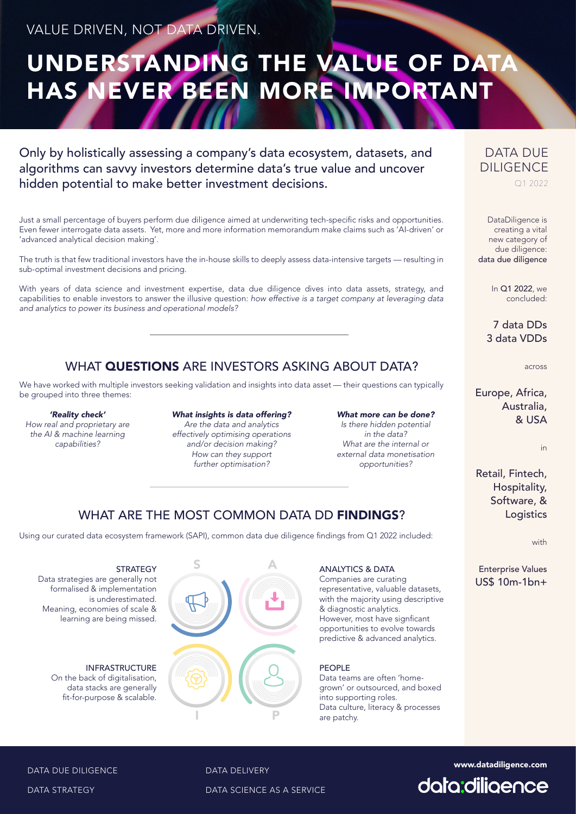# UNDERSTANDING THE VALUE OF DATA HAS NEVER BEEN MORE IMPORTANT

Only by holistically assessing a company's data ecosystem, datasets, and algorithms can savvy investors determine data's true value and uncover hidden potential to make better investment decisions.

Just a small percentage of buyers perform due diligence aimed at underwriting tech-specific risks and opportunities. Even fewer interrogate data assets. Yet, more and more information memorandum make claims such as 'AI-driven' or 'advanced analytical decision making'.

The truth is that few traditional investors have the in-house skills to deeply assess data-intensive targets — resulting in sub-optimal investment decisions and pricing.

With years of data science and investment expertise, data due diligence dives into data assets, strategy, and capabilities to enable investors to answer the illusive question: how effective is a target company at leveraging data and analytics to power its business and operational models?

# WHAT **QUESTIONS** ARE INVESTORS ASKING ABOUT DATA?

We have worked with multiple investors seeking validation and insights into data asset — their questions can typically be grouped into three themes:

#### 'Reality check'

How real and proprietary are the AI & machine learning capabilities?

#### What insights is data offering?

Are the data and analytics effectively optimising operations and/or decision making? How can they support further optimisation?

What more can be done? Is there hidden potential in the data? What are the internal or external data monetisation opportunities?

# WHAT ARE THE MOST COMMON DATA DD FINDINGS?

Using our curated data ecosystem framework (SAPI), common data due diligence findings from Q1 2022 included:

**STRATEGY** Data strategies are generally not formalised & implementation is underestimated. Meaning, economies of scale & learning are being missed.

> INFRASTRUCTURE On the back of digitalisation, data stacks are generally fit-for-purpose & scalable.

# S A I P

#### ANALYTICS & DATA

Companies are curating representative, valuable datasets, with the majority using descriptive & diagnostic analytics. However, most have signficant opportunities to evolve towards predictive & advanced analytics.

### PEOPLE

Data teams are often 'homegrown' or outsourced, and boxed into supporting roles. Data culture, literacy & processes are patchy.

## DATA DUE DILIGENCE Q1 2022

DataDiligence is creating a vital new category of due diligence: data due diligence

> In Q1 2022, we concluded:

7 data DDs 3 data VDDs

across

Europe, Africa, Australia. & USA

in

Retail, Fintech, Hospitality, Software, & Logistics

with

Enterprise Values US\$ 10m-1bn+



DATA DELIVERY<br>DATA SCIENCE AS A SERVICE<br>DATA SCIENCE AS A SERVICE

DATA DUE DILIGENCE

DATA STRATEGY

DATA SCIENCE AS A SERVICE